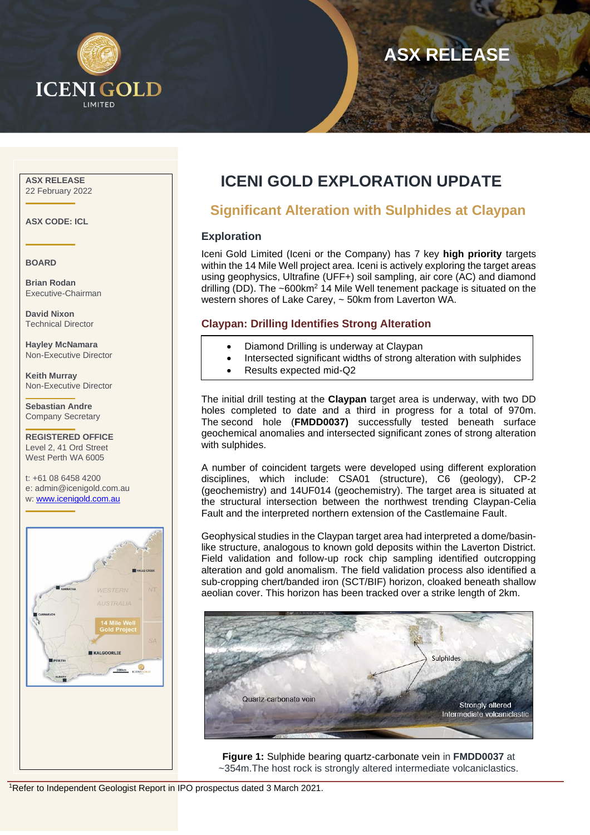

# **ASX RELEASE**

#### **ASX RELEASE** 22 February 2022

**ASX CODE: ICL**

**BOARD**

**Brian Rodan** Executive-Chairman

**David Nixon** Technical Director

**Hayley McNamara** Non-Executive Director

**Keith Murray** Non-Executive Director

**Sebastian Andre** Company Secretary

**REGISTERED OFFICE** Level 2, 41 Ord Street West Perth WA 6005

t: +61 08 6458 4200 e: admin@icenigold.com.au w[: www.icenigold.com.au](about:blank)



## **ICENI GOLD EXPLORATION UPDATE**

### **Significant Alteration with Sulphides at Claypan**

#### **Exploration**

Iceni Gold Limited (Iceni or the Company) has 7 key **high priority** targets within the 14 Mile Well project area. Iceni is actively exploring the target areas using geophysics, Ultrafine (UFF+) soil sampling, air core (AC) and diamond drilling (DD). The ~600km<sup>2</sup> 14 Mile Well tenement package is situated on the western shores of Lake Carey, ~ 50km from Laverton WA.

#### **Claypan: Drilling Identifies Strong Alteration**

- Diamond Drilling is underway at Claypan
- Intersected significant widths of strong alteration with sulphides
- Results expected mid-Q2

The initial drill testing at the **Claypan** target area is underway, with two DD holes completed to date and a third in progress for a total of 970m. The second hole (**FMDD0037)** successfully tested beneath surface geochemical anomalies and intersected significant zones of strong alteration with sulphides.

A number of coincident targets were developed using different exploration disciplines, which include: CSA01 (structure), C6 (geology), CP-2 (geochemistry) and 14UF014 (geochemistry). The target area is situated at the structural intersection between the northwest trending Claypan-Celia Fault and the interpreted northern extension of the Castlemaine Fault.

Geophysical studies in the Claypan target area had interpreted a dome/basinlike structure, analogous to known gold deposits within the Laverton District. Field validation and follow-up rock chip sampling identified outcropping alteration and gold anomalism. The field validation process also identified a sub-cropping chert/banded iron (SCT/BIF) horizon, cloaked beneath shallow aeolian cover. This horizon has been tracked over a strike length of 2km.



**Figure 1:** Sulphide bearing quartz-carbonate vein in **FMDD0037** at ~354m.The host rock is strongly altered intermediate volcaniclastics.

<sup>1</sup>Refer to Independent Geologist Report in IPO prospectus dated 3 March 2021.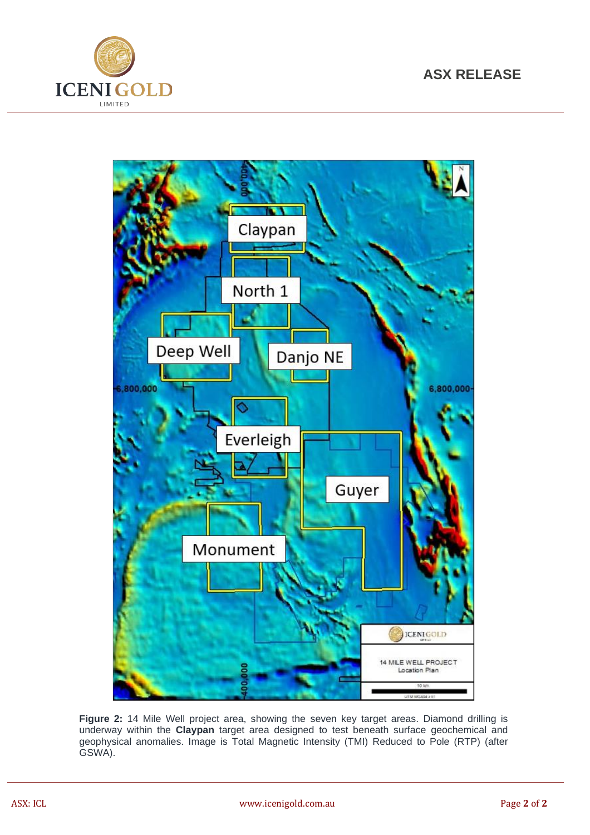



**Figure 2:** 14 Mile Well project area, showing the seven key target areas. Diamond drilling is underway within the **Claypan** target area designed to test beneath surface geochemical and geophysical anomalies. Image is Total Magnetic Intensity (TMI) Reduced to Pole (RTP) (after GSWA).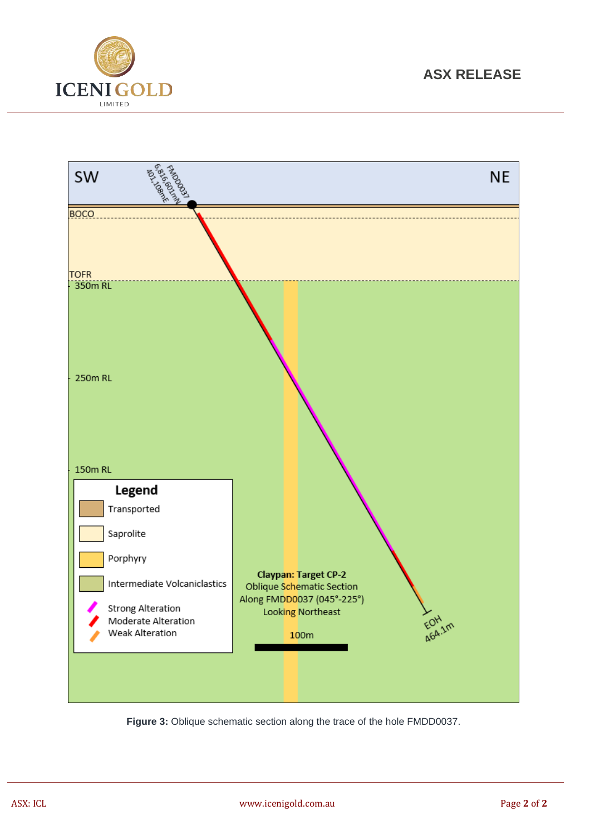



**Figure 3:** Oblique schematic section along the trace of the hole FMDD0037.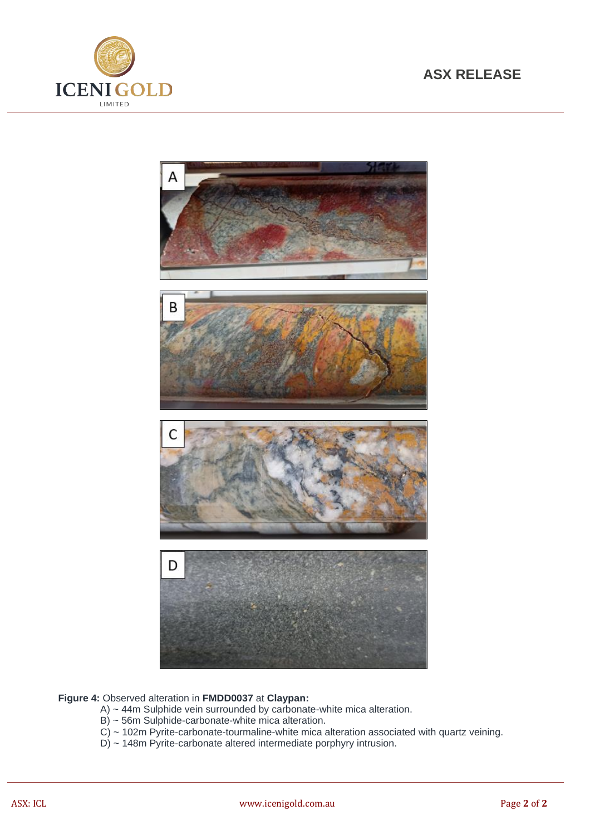





#### **Figure 4:** Observed alteration in **FMDD0037** at **Claypan:**

- A) ~ 44m Sulphide vein surrounded by carbonate-white mica alteration.
- B) ~ 56m Sulphide-carbonate-white mica alteration.
- C) ~ 102m Pyrite-carbonate-tourmaline-white mica alteration associated with quartz veining.
- D) ~ 148m Pyrite-carbonate altered intermediate porphyry intrusion.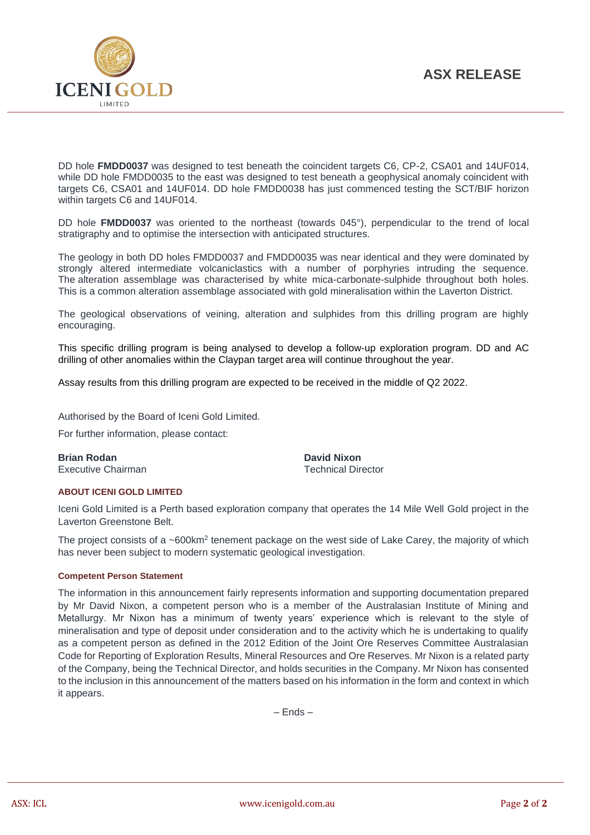

DD hole **FMDD0037** was designed to test beneath the coincident targets C6, CP-2, CSA01 and 14UF014, while DD hole FMDD0035 to the east was designed to test beneath a geophysical anomaly coincident with targets C6, CSA01 and 14UF014. DD hole FMDD0038 has just commenced testing the SCT/BIF horizon within targets C6 and 14UF014.

DD hole **FMDD0037** was oriented to the northeast (towards 045°), perpendicular to the trend of local stratigraphy and to optimise the intersection with anticipated structures.

The geology in both DD holes FMDD0037 and FMDD0035 was near identical and they were dominated by strongly altered intermediate volcaniclastics with a number of porphyries intruding the sequence. The alteration assemblage was characterised by white mica-carbonate-sulphide throughout both holes. This is a common alteration assemblage associated with gold mineralisation within the Laverton District.

The geological observations of veining, alteration and sulphides from this drilling program are highly encouraging.

This specific drilling program is being analysed to develop a follow-up exploration program. DD and AC drilling of other anomalies within the Claypan target area will continue throughout the year.

Assay results from this drilling program are expected to be received in the middle of Q2 2022.

Authorised by the Board of Iceni Gold Limited.

For further information, please contact:

**Brian Rodan David Nixon** Executive Chairman Technical Director

#### **ABOUT ICENI GOLD LIMITED**

Iceni Gold Limited is a Perth based exploration company that operates the 14 Mile Well Gold project in the Laverton Greenstone Belt.

The project consists of a ~600km<sup>2</sup> tenement package on the west side of Lake Carey, the majority of which has never been subject to modern systematic geological investigation.

#### **Competent Person Statement**

The information in this announcement fairly represents information and supporting documentation prepared by Mr David Nixon, a competent person who is a member of the Australasian Institute of Mining and Metallurgy. Mr Nixon has a minimum of twenty years' experience which is relevant to the style of mineralisation and type of deposit under consideration and to the activity which he is undertaking to qualify as a competent person as defined in the 2012 Edition of the Joint Ore Reserves Committee Australasian Code for Reporting of Exploration Results, Mineral Resources and Ore Reserves. Mr Nixon is a related party of the Company, being the Technical Director, and holds securities in the Company. Mr Nixon has consented to the inclusion in this announcement of the matters based on his information in the form and context in which it appears.

– Ends –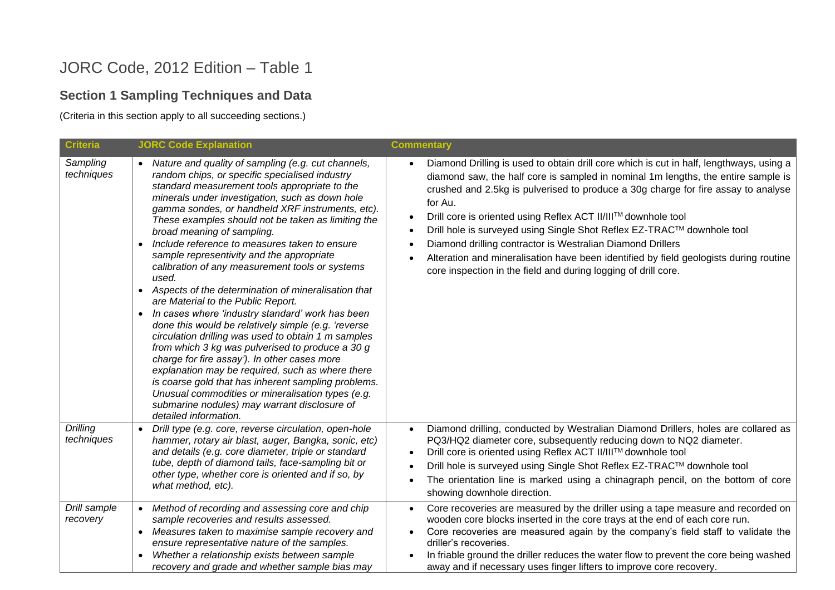## JORC Code, 2012 Edition – Table 1

### **Section 1 Sampling Techniques and Data**

(Criteria in this section apply to all succeeding sections.)

| <b>Criteria</b>          | <b>JORC Code Explanation</b>                                                                                                                                                                                                                                                                                                                                                                                                                                                                                                                                                                                                                                                                                                                                                                                                                                                                                                                                                                                                                                                                                                                                    | <b>Commentary</b>                                                                                                                                                                                                                                                                                                                                                                                                                                                                                                                                                                                                                                                                                    |
|--------------------------|-----------------------------------------------------------------------------------------------------------------------------------------------------------------------------------------------------------------------------------------------------------------------------------------------------------------------------------------------------------------------------------------------------------------------------------------------------------------------------------------------------------------------------------------------------------------------------------------------------------------------------------------------------------------------------------------------------------------------------------------------------------------------------------------------------------------------------------------------------------------------------------------------------------------------------------------------------------------------------------------------------------------------------------------------------------------------------------------------------------------------------------------------------------------|------------------------------------------------------------------------------------------------------------------------------------------------------------------------------------------------------------------------------------------------------------------------------------------------------------------------------------------------------------------------------------------------------------------------------------------------------------------------------------------------------------------------------------------------------------------------------------------------------------------------------------------------------------------------------------------------------|
| Sampling<br>techniques   | • Nature and quality of sampling (e.g. cut channels,<br>random chips, or specific specialised industry<br>standard measurement tools appropriate to the<br>minerals under investigation, such as down hole<br>gamma sondes, or handheld XRF instruments, etc).<br>These examples should not be taken as limiting the<br>broad meaning of sampling.<br>Include reference to measures taken to ensure<br>$\bullet$<br>sample representivity and the appropriate<br>calibration of any measurement tools or systems<br>used.<br>Aspects of the determination of mineralisation that<br>$\bullet$<br>are Material to the Public Report.<br>In cases where 'industry standard' work has been<br>$\bullet$<br>done this would be relatively simple (e.g. 'reverse<br>circulation drilling was used to obtain 1 m samples<br>from which 3 kg was pulverised to produce a 30 g<br>charge for fire assay'). In other cases more<br>explanation may be required, such as where there<br>is coarse gold that has inherent sampling problems.<br>Unusual commodities or mineralisation types (e.g.<br>submarine nodules) may warrant disclosure of<br>detailed information. | Diamond Drilling is used to obtain drill core which is cut in half, lengthways, using a<br>$\bullet$<br>diamond saw, the half core is sampled in nominal 1m lengths, the entire sample is<br>crushed and 2.5kg is pulverised to produce a 30g charge for fire assay to analyse<br>for Au.<br>Drill core is oriented using Reflex ACT II/III™ downhole tool<br>$\bullet$<br>Drill hole is surveyed using Single Shot Reflex EZ-TRAC™ downhole tool<br>$\bullet$<br>Diamond drilling contractor is Westralian Diamond Drillers<br>$\bullet$<br>Alteration and mineralisation have been identified by field geologists during routine<br>core inspection in the field and during logging of drill core. |
| Drilling<br>techniques   | Drill type (e.g. core, reverse circulation, open-hole<br>hammer, rotary air blast, auger, Bangka, sonic, etc)<br>and details (e.g. core diameter, triple or standard<br>tube, depth of diamond tails, face-sampling bit or<br>other type, whether core is oriented and if so, by<br>what method, etc).                                                                                                                                                                                                                                                                                                                                                                                                                                                                                                                                                                                                                                                                                                                                                                                                                                                          | Diamond drilling, conducted by Westralian Diamond Drillers, holes are collared as<br>$\bullet$<br>PQ3/HQ2 diameter core, subsequently reducing down to NQ2 diameter.<br>Drill core is oriented using Reflex ACT II/III™ downhole tool<br>$\bullet$<br>Drill hole is surveyed using Single Shot Reflex EZ-TRAC™ downhole tool<br>$\bullet$<br>The orientation line is marked using a chinagraph pencil, on the bottom of core<br>showing downhole direction.                                                                                                                                                                                                                                          |
| Drill sample<br>recovery | Method of recording and assessing core and chip<br>$\bullet$<br>sample recoveries and results assessed.<br>Measures taken to maximise sample recovery and<br>ensure representative nature of the samples.<br>Whether a relationship exists between sample<br>recovery and grade and whether sample bias may                                                                                                                                                                                                                                                                                                                                                                                                                                                                                                                                                                                                                                                                                                                                                                                                                                                     | Core recoveries are measured by the driller using a tape measure and recorded on<br>$\bullet$<br>wooden core blocks inserted in the core trays at the end of each core run.<br>Core recoveries are measured again by the company's field staff to validate the<br>driller's recoveries.<br>In friable ground the driller reduces the water flow to prevent the core being washed<br>away and if necessary uses finger lifters to improve core recovery.                                                                                                                                                                                                                                              |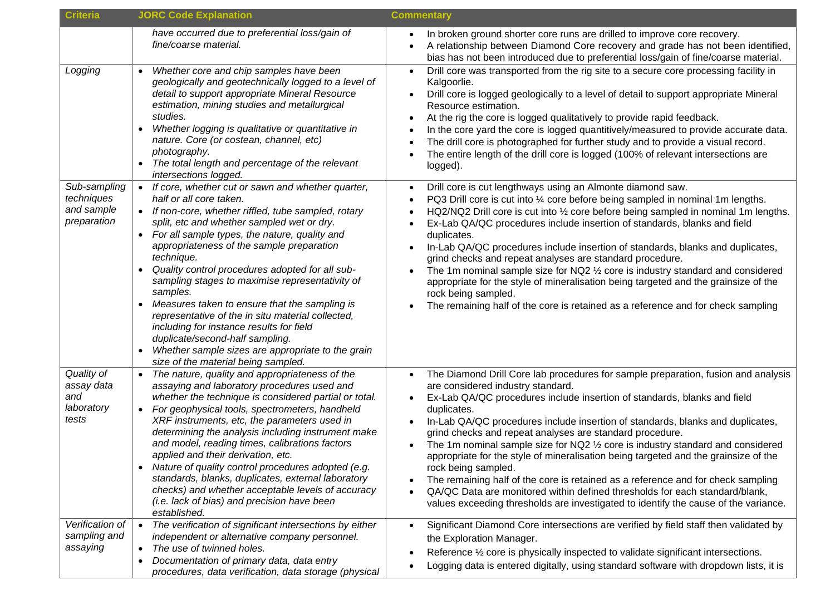| <b>Criteria</b>                                         | <b>JORC Code Explanation</b>                                                                                                                                                                                                                                                                                                                                                                                                                                                                                                                                                                                                                                                                                                                                                  | <b>Commentary</b>                                                                                                                                                                                                                                                                                                                                                                                                                                                                                                                                                                                                                                                                                                                                                                                                                    |  |  |
|---------------------------------------------------------|-------------------------------------------------------------------------------------------------------------------------------------------------------------------------------------------------------------------------------------------------------------------------------------------------------------------------------------------------------------------------------------------------------------------------------------------------------------------------------------------------------------------------------------------------------------------------------------------------------------------------------------------------------------------------------------------------------------------------------------------------------------------------------|--------------------------------------------------------------------------------------------------------------------------------------------------------------------------------------------------------------------------------------------------------------------------------------------------------------------------------------------------------------------------------------------------------------------------------------------------------------------------------------------------------------------------------------------------------------------------------------------------------------------------------------------------------------------------------------------------------------------------------------------------------------------------------------------------------------------------------------|--|--|
|                                                         | have occurred due to preferential loss/gain of<br>fine/coarse material.                                                                                                                                                                                                                                                                                                                                                                                                                                                                                                                                                                                                                                                                                                       | In broken ground shorter core runs are drilled to improve core recovery.<br>A relationship between Diamond Core recovery and grade has not been identified,<br>bias has not been introduced due to preferential loss/gain of fine/coarse material.                                                                                                                                                                                                                                                                                                                                                                                                                                                                                                                                                                                   |  |  |
| Logging                                                 | Whether core and chip samples have been<br>geologically and geotechnically logged to a level of<br>detail to support appropriate Mineral Resource<br>estimation, mining studies and metallurgical<br>studies.<br>Whether logging is qualitative or quantitative in<br>nature. Core (or costean, channel, etc)<br>photography.<br>The total length and percentage of the relevant<br>$\bullet$<br>intersections logged.                                                                                                                                                                                                                                                                                                                                                        | Drill core was transported from the rig site to a secure core processing facility in<br>Kalgoorlie.<br>Drill core is logged geologically to a level of detail to support appropriate Mineral<br>Resource estimation.<br>At the rig the core is logged qualitatively to provide rapid feedback.<br>In the core yard the core is logged quantitively/measured to provide accurate data.<br>The drill core is photographed for further study and to provide a visual record.<br>The entire length of the drill core is logged (100% of relevant intersections are<br>logged).                                                                                                                                                                                                                                                           |  |  |
| Sub-sampling<br>techniques<br>and sample<br>preparation | If core, whether cut or sawn and whether quarter,<br>$\bullet$<br>half or all core taken.<br>If non-core, whether riffled, tube sampled, rotary<br>$\bullet$<br>split, etc and whether sampled wet or dry.<br>For all sample types, the nature, quality and<br>$\bullet$<br>appropriateness of the sample preparation<br>technique.<br>Quality control procedures adopted for all sub-<br>$\bullet$<br>sampling stages to maximise representativity of<br>samples.<br>Measures taken to ensure that the sampling is<br>$\bullet$<br>representative of the in situ material collected,<br>including for instance results for field<br>duplicate/second-half sampling.<br>Whether sample sizes are appropriate to the grain<br>$\bullet$<br>size of the material being sampled. | Drill core is cut lengthways using an Almonte diamond saw.<br>PQ3 Drill core is cut into 1/4 core before being sampled in nominal 1m lengths.<br>HQ2/NQ2 Drill core is cut into 1/2 core before being sampled in nominal 1m lengths.<br>Ex-Lab QA/QC procedures include insertion of standards, blanks and field<br>duplicates.<br>In-Lab QA/QC procedures include insertion of standards, blanks and duplicates,<br>grind checks and repeat analyses are standard procedure.<br>The 1m nominal sample size for NQ2 $\frac{1}{2}$ core is industry standard and considered<br>appropriate for the style of mineralisation being targeted and the grainsize of the<br>rock being sampled.<br>The remaining half of the core is retained as a reference and for check sampling                                                         |  |  |
| Quality of<br>assay data<br>and<br>laboratory<br>tests  | The nature, quality and appropriateness of the<br>$\bullet$<br>assaying and laboratory procedures used and<br>whether the technique is considered partial or total.<br>For geophysical tools, spectrometers, handheld<br>$\bullet$<br>XRF instruments, etc, the parameters used in<br>determining the analysis including instrument make<br>and model, reading times, calibrations factors<br>applied and their derivation, etc.<br>Nature of quality control procedures adopted (e.g.<br>$\bullet$<br>standards, blanks, duplicates, external laboratory<br>checks) and whether acceptable levels of accuracy<br>(i.e. lack of bias) and precision have been<br>established.                                                                                                 | The Diamond Drill Core lab procedures for sample preparation, fusion and analysis<br>are considered industry standard.<br>Ex-Lab QA/QC procedures include insertion of standards, blanks and field<br>duplicates.<br>In-Lab QA/QC procedures include insertion of standards, blanks and duplicates,<br>grind checks and repeat analyses are standard procedure.<br>The 1m nominal sample size for NQ2 $\frac{1}{2}$ core is industry standard and considered<br>appropriate for the style of mineralisation being targeted and the grainsize of the<br>rock being sampled.<br>The remaining half of the core is retained as a reference and for check sampling<br>QA/QC Data are monitored within defined thresholds for each standard/blank,<br>values exceeding thresholds are investigated to identify the cause of the variance. |  |  |
| Verification of<br>sampling and<br>assaying             | The verification of significant intersections by either<br>$\bullet$<br>independent or alternative company personnel.<br>The use of twinned holes.<br>$\bullet$<br>Documentation of primary data, data entry<br>$\bullet$<br>procedures, data verification, data storage (physical                                                                                                                                                                                                                                                                                                                                                                                                                                                                                            | Significant Diamond Core intersections are verified by field staff then validated by<br>the Exploration Manager.<br>Reference 1/2 core is physically inspected to validate significant intersections.<br>Logging data is entered digitally, using standard software with dropdown lists, it is                                                                                                                                                                                                                                                                                                                                                                                                                                                                                                                                       |  |  |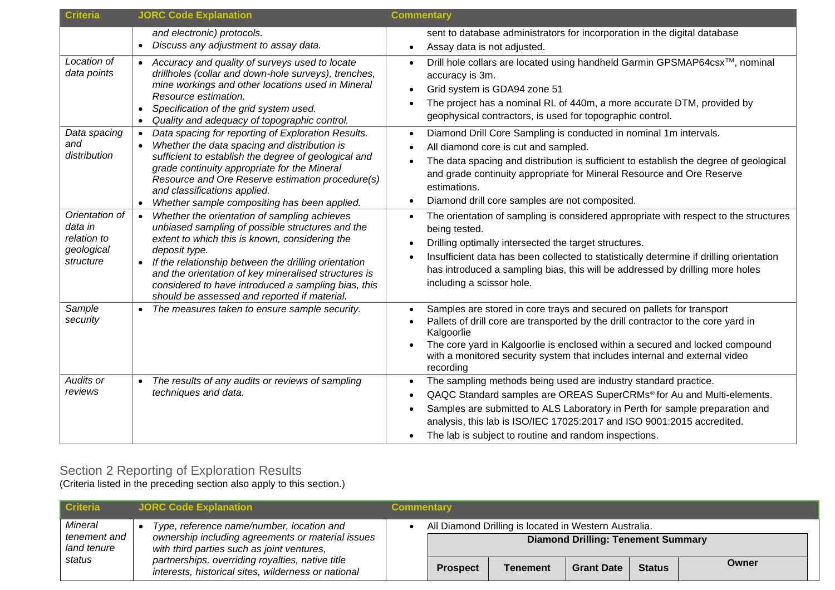| <b>Criteria</b>                                                     | <b>JORC Code Explanation</b>                                                                                                                                                                                                                                                                                                                                                                                         | <b>Commentary</b>                                                                                                                                                                                                                                                                                                                                                       |
|---------------------------------------------------------------------|----------------------------------------------------------------------------------------------------------------------------------------------------------------------------------------------------------------------------------------------------------------------------------------------------------------------------------------------------------------------------------------------------------------------|-------------------------------------------------------------------------------------------------------------------------------------------------------------------------------------------------------------------------------------------------------------------------------------------------------------------------------------------------------------------------|
|                                                                     | and electronic) protocols.<br>Discuss any adjustment to assay data.<br>$\bullet$                                                                                                                                                                                                                                                                                                                                     | sent to database administrators for incorporation in the digital database<br>Assay data is not adjusted.                                                                                                                                                                                                                                                                |
| Location of<br>data points                                          | • Accuracy and quality of surveys used to locate<br>drillholes (collar and down-hole surveys), trenches,<br>mine workings and other locations used in Mineral<br>Resource estimation.<br>Specification of the grid system used.<br>Quality and adequacy of topographic control.                                                                                                                                      | Drill hole collars are located using handheld Garmin GPSMAP64csx™, nominal<br>accuracy is 3m.<br>Grid system is GDA94 zone 51<br>The project has a nominal RL of 440m, a more accurate DTM, provided by<br>geophysical contractors, is used for topographic control.                                                                                                    |
| Data spacing<br>and<br>distribution                                 | Data spacing for reporting of Exploration Results.<br>$\bullet$<br>Whether the data spacing and distribution is<br>sufficient to establish the degree of geological and<br>grade continuity appropriate for the Mineral<br>Resource and Ore Reserve estimation procedure(s)<br>and classifications applied.<br>Whether sample compositing has been applied.<br>$\bullet$                                             | Diamond Drill Core Sampling is conducted in nominal 1m intervals.<br>All diamond core is cut and sampled.<br>The data spacing and distribution is sufficient to establish the degree of geological<br>and grade continuity appropriate for Mineral Resource and Ore Reserve<br>estimations.<br>Diamond drill core samples are not composited.                           |
| Orientation of<br>data in<br>relation to<br>geological<br>structure | Whether the orientation of sampling achieves<br>$\bullet$<br>unbiased sampling of possible structures and the<br>extent to which this is known, considering the<br>deposit type.<br>If the relationship between the drilling orientation<br>$\bullet$<br>and the orientation of key mineralised structures is<br>considered to have introduced a sampling bias, this<br>should be assessed and reported if material. | The orientation of sampling is considered appropriate with respect to the structures<br>being tested.<br>Drilling optimally intersected the target structures.<br>Insufficient data has been collected to statistically determine if drilling orientation<br>has introduced a sampling bias, this will be addressed by drilling more holes<br>including a scissor hole. |
| Sample<br>security                                                  | The measures taken to ensure sample security.                                                                                                                                                                                                                                                                                                                                                                        | Samples are stored in core trays and secured on pallets for transport<br>Pallets of drill core are transported by the drill contractor to the core yard in<br>Kalgoorlie<br>The core yard in Kalgoorlie is enclosed within a secured and locked compound<br>with a monitored security system that includes internal and external video<br>recording                     |
| <b>Audits or</b><br>reviews                                         | The results of any audits or reviews of sampling<br>techniques and data.                                                                                                                                                                                                                                                                                                                                             | The sampling methods being used are industry standard practice.<br>QAQC Standard samples are OREAS SuperCRMs® for Au and Multi-elements.<br>Samples are submitted to ALS Laboratory in Perth for sample preparation and<br>analysis, this lab is ISO/IEC 17025:2017 and ISO 9001:2015 accredited.<br>The lab is subject to routine and random inspections.              |

## Section 2 Reporting of Exploration Results

(Criteria listed in the preceding section also apply to this section.)

| <b>Criteria</b>                        | <b>JORC Code Explanation</b>                                                                                                                 | <b>Commentary</b> |                 |                                                       |                                           |               |       |
|----------------------------------------|----------------------------------------------------------------------------------------------------------------------------------------------|-------------------|-----------------|-------------------------------------------------------|-------------------------------------------|---------------|-------|
| Mineral<br>tenement and<br>land tenure | Type, reference name/number, location and<br>ownership including agreements or material issues<br>with third parties such as joint ventures, |                   |                 | All Diamond Drilling is located in Western Australia. | <b>Diamond Drilling: Tenement Summary</b> |               |       |
| status                                 | partnerships, overriding royalties, native title<br>interests, historical sites, wilderness or national                                      |                   | <b>Prospect</b> | <b>Tenement</b>                                       | <b>Grant Date</b>                         | <b>Status</b> | Owner |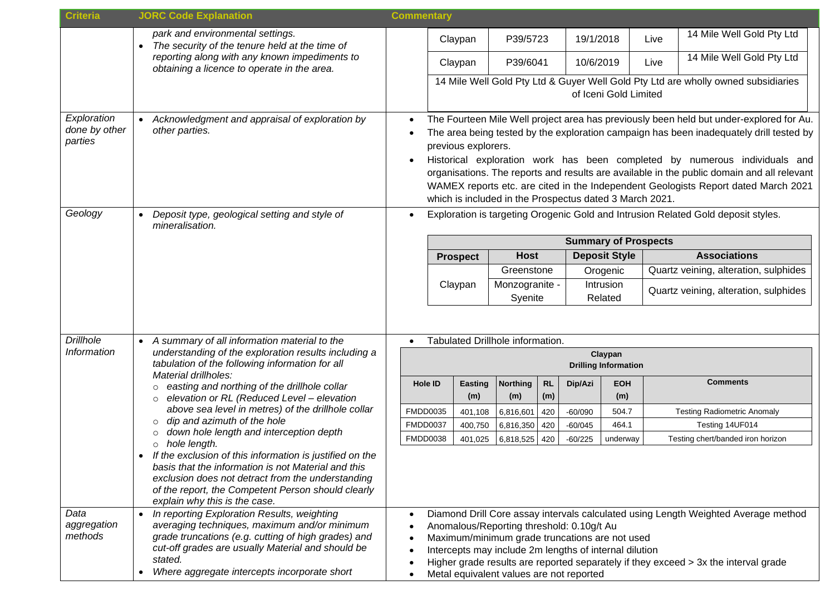| <b>Criteria</b>                                                                                                                                                                                                                                                               | <b>JORC Code Explanation</b>                                                                                                                                                                                                                                                                                                                                                           | <b>Commentary</b>                                                          |                     |                    |                                                                                                                                                                                                   |            |                        |                             |      |                                                                                                                                                                                                                                                                                                                                                                                                                                                                                                                                           |  |
|-------------------------------------------------------------------------------------------------------------------------------------------------------------------------------------------------------------------------------------------------------------------------------|----------------------------------------------------------------------------------------------------------------------------------------------------------------------------------------------------------------------------------------------------------------------------------------------------------------------------------------------------------------------------------------|----------------------------------------------------------------------------|---------------------|--------------------|---------------------------------------------------------------------------------------------------------------------------------------------------------------------------------------------------|------------|------------------------|-----------------------------|------|-------------------------------------------------------------------------------------------------------------------------------------------------------------------------------------------------------------------------------------------------------------------------------------------------------------------------------------------------------------------------------------------------------------------------------------------------------------------------------------------------------------------------------------------|--|
|                                                                                                                                                                                                                                                                               | park and environmental settings.<br>The security of the tenure held at the time of                                                                                                                                                                                                                                                                                                     |                                                                            | Claypan             |                    | P39/5723                                                                                                                                                                                          |            | 19/1/2018              |                             | Live | 14 Mile Well Gold Pty Ltd                                                                                                                                                                                                                                                                                                                                                                                                                                                                                                                 |  |
|                                                                                                                                                                                                                                                                               | reporting along with any known impediments to<br>obtaining a licence to operate in the area.                                                                                                                                                                                                                                                                                           |                                                                            | Claypan             |                    | P39/6041                                                                                                                                                                                          |            | 10/6/2019              |                             | Live | 14 Mile Well Gold Pty Ltd                                                                                                                                                                                                                                                                                                                                                                                                                                                                                                                 |  |
|                                                                                                                                                                                                                                                                               |                                                                                                                                                                                                                                                                                                                                                                                        |                                                                            |                     |                    |                                                                                                                                                                                                   |            |                        | of Iceni Gold Limited       |      | 14 Mile Well Gold Pty Ltd & Guyer Well Gold Pty Ltd are wholly owned subsidiaries                                                                                                                                                                                                                                                                                                                                                                                                                                                         |  |
| Exploration<br>done by other<br>parties<br>Geology                                                                                                                                                                                                                            | Acknowledgment and appraisal of exploration by<br>other parties.<br>Deposit type, geological setting and style of                                                                                                                                                                                                                                                                      | $\bullet$                                                                  | previous explorers. |                    | which is included in the Prospectus dated 3 March 2021.                                                                                                                                           |            |                        |                             |      | The Fourteen Mile Well project area has previously been held but under-explored for Au.<br>The area being tested by the exploration campaign has been inadequately drill tested by<br>Historical exploration work has been completed by numerous individuals and<br>organisations. The reports and results are available in the public domain and all relevant<br>WAMEX reports etc. are cited in the Independent Geologists Report dated March 2021<br>Exploration is targeting Orogenic Gold and Intrusion Related Gold deposit styles. |  |
|                                                                                                                                                                                                                                                                               | mineralisation.                                                                                                                                                                                                                                                                                                                                                                        |                                                                            |                     |                    |                                                                                                                                                                                                   |            |                        | <b>Summary of Prospects</b> |      |                                                                                                                                                                                                                                                                                                                                                                                                                                                                                                                                           |  |
|                                                                                                                                                                                                                                                                               |                                                                                                                                                                                                                                                                                                                                                                                        |                                                                            | <b>Prospect</b>     |                    | <b>Host</b>                                                                                                                                                                                       |            |                        | <b>Deposit Style</b>        |      | <b>Associations</b>                                                                                                                                                                                                                                                                                                                                                                                                                                                                                                                       |  |
|                                                                                                                                                                                                                                                                               |                                                                                                                                                                                                                                                                                                                                                                                        |                                                                            |                     |                    | Greenstone                                                                                                                                                                                        |            |                        | Orogenic                    |      | Quartz veining, alteration, sulphides                                                                                                                                                                                                                                                                                                                                                                                                                                                                                                     |  |
|                                                                                                                                                                                                                                                                               |                                                                                                                                                                                                                                                                                                                                                                                        |                                                                            | Claypan             |                    | Monzogranite -<br>Syenite                                                                                                                                                                         |            |                        | Intrusion<br>Related        |      | Quartz veining, alteration, sulphides                                                                                                                                                                                                                                                                                                                                                                                                                                                                                                     |  |
| <b>Drillhole</b><br>A summary of all information material to the<br>Information<br>understanding of the exploration results including a<br>tabulation of the following information for all<br>Material drillholes:<br>easting and northing of the drillhole collar<br>$\circ$ |                                                                                                                                                                                                                                                                                                                                                                                        | Tabulated Drillhole information.<br>Claypan<br><b>Drilling Information</b> |                     |                    |                                                                                                                                                                                                   |            |                        |                             |      |                                                                                                                                                                                                                                                                                                                                                                                                                                                                                                                                           |  |
|                                                                                                                                                                                                                                                                               |                                                                                                                                                                                                                                                                                                                                                                                        |                                                                            | <b>Hole ID</b>      | <b>Easting</b>     | <b>Northing</b>                                                                                                                                                                                   | <b>RL</b>  | Dip/Azi                | <b>EOH</b>                  |      | <b>Comments</b>                                                                                                                                                                                                                                                                                                                                                                                                                                                                                                                           |  |
|                                                                                                                                                                                                                                                                               | elevation or RL (Reduced Level - elevation<br>$\circ$<br>above sea level in metres) of the drillhole collar                                                                                                                                                                                                                                                                            |                                                                            | <b>FMDD0035</b>     | (m)                | (m)                                                                                                                                                                                               | (m)        |                        | (m)                         |      | <b>Testing Radiometric Anomaly</b>                                                                                                                                                                                                                                                                                                                                                                                                                                                                                                        |  |
|                                                                                                                                                                                                                                                                               | dip and azimuth of the hole<br>$\circ$<br>down hole length and interception depth<br>$\circ$<br>hole length.<br>$\circ$<br>If the exclusion of this information is justified on the<br>basis that the information is not Material and this<br>exclusion does not detract from the understanding<br>of the report, the Competent Person should clearly<br>explain why this is the case. |                                                                            | <b>FMDD0037</b>     | 401,108<br>400,750 | 6,816,601<br>6,816,350                                                                                                                                                                            | 420<br>420 | $-60/090$<br>$-60/045$ | 504.7<br>464.1              |      | Testing 14UF014                                                                                                                                                                                                                                                                                                                                                                                                                                                                                                                           |  |
|                                                                                                                                                                                                                                                                               |                                                                                                                                                                                                                                                                                                                                                                                        |                                                                            | <b>FMDD0038</b>     | 401,025            | 6,818,525                                                                                                                                                                                         | 420        | $-60/225$              | underway                    |      | Testing chert/banded iron horizon                                                                                                                                                                                                                                                                                                                                                                                                                                                                                                         |  |
|                                                                                                                                                                                                                                                                               |                                                                                                                                                                                                                                                                                                                                                                                        |                                                                            |                     |                    |                                                                                                                                                                                                   |            |                        |                             |      |                                                                                                                                                                                                                                                                                                                                                                                                                                                                                                                                           |  |
| Data<br>aggregation<br>methods                                                                                                                                                                                                                                                | In reporting Exploration Results, weighting<br>$\bullet$<br>averaging techniques, maximum and/or minimum<br>grade truncations (e.g. cutting of high grades) and<br>cut-off grades are usually Material and should be<br>stated.<br>Where aggregate intercepts incorporate short<br>$\bullet$                                                                                           |                                                                            |                     |                    | Anomalous/Reporting threshold: 0.10g/t Au<br>Maximum/minimum grade truncations are not used<br>Intercepts may include 2m lengths of internal dilution<br>Metal equivalent values are not reported |            |                        |                             |      | Diamond Drill Core assay intervals calculated using Length Weighted Average method<br>Higher grade results are reported separately if they exceed > 3x the interval grade                                                                                                                                                                                                                                                                                                                                                                 |  |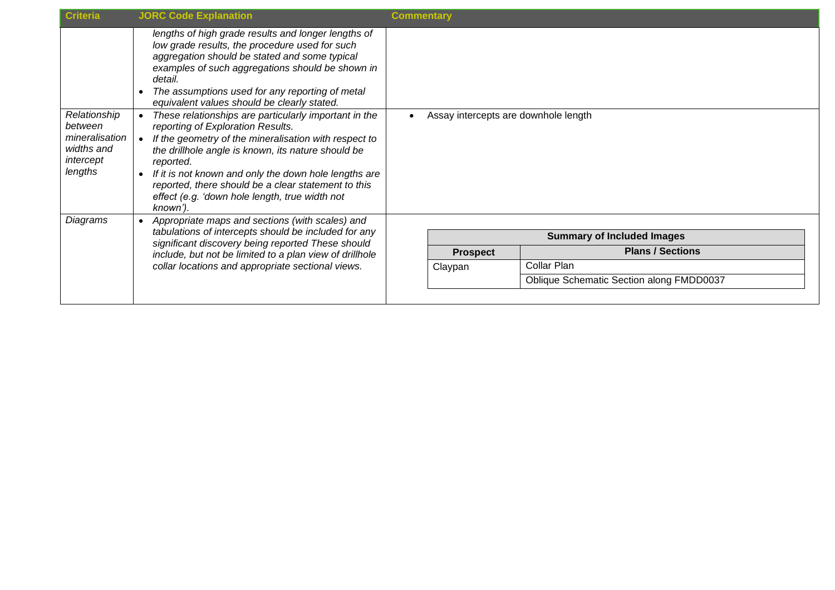| <b>Criteria</b>                                                                 | <b>JORC Code Explanation</b>                                                                                                                                                                                                                                                                                                                                                                         | <b>Commentary</b>                    |                 |                                          |  |  |
|---------------------------------------------------------------------------------|------------------------------------------------------------------------------------------------------------------------------------------------------------------------------------------------------------------------------------------------------------------------------------------------------------------------------------------------------------------------------------------------------|--------------------------------------|-----------------|------------------------------------------|--|--|
|                                                                                 | lengths of high grade results and longer lengths of<br>low grade results, the procedure used for such<br>aggregation should be stated and some typical<br>examples of such aggregations should be shown in<br>detail.<br>The assumptions used for any reporting of metal<br>equivalent values should be clearly stated.                                                                              |                                      |                 |                                          |  |  |
| Relationship<br>between<br>mineralisation<br>widths and<br>intercept<br>lengths | These relationships are particularly important in the<br>reporting of Exploration Results.<br>If the geometry of the mineralisation with respect to<br>the drillhole angle is known, its nature should be<br>reported.<br>If it is not known and only the down hole lengths are<br>reported, there should be a clear statement to this<br>effect (e.g. 'down hole length, true width not<br>known'). | Assay intercepts are downhole length |                 |                                          |  |  |
| Diagrams                                                                        | Appropriate maps and sections (with scales) and<br>tabulations of intercepts should be included for any                                                                                                                                                                                                                                                                                              |                                      |                 | <b>Summary of Included Images</b>        |  |  |
|                                                                                 | significant discovery being reported These should<br>include, but not be limited to a plan view of drillhole<br>collar locations and appropriate sectional views.                                                                                                                                                                                                                                    |                                      |                 | <b>Plans / Sections</b>                  |  |  |
|                                                                                 |                                                                                                                                                                                                                                                                                                                                                                                                      |                                      | <b>Prospect</b> |                                          |  |  |
|                                                                                 |                                                                                                                                                                                                                                                                                                                                                                                                      |                                      | Claypan         | Collar Plan                              |  |  |
|                                                                                 |                                                                                                                                                                                                                                                                                                                                                                                                      |                                      |                 | Oblique Schematic Section along FMDD0037 |  |  |
|                                                                                 |                                                                                                                                                                                                                                                                                                                                                                                                      |                                      |                 |                                          |  |  |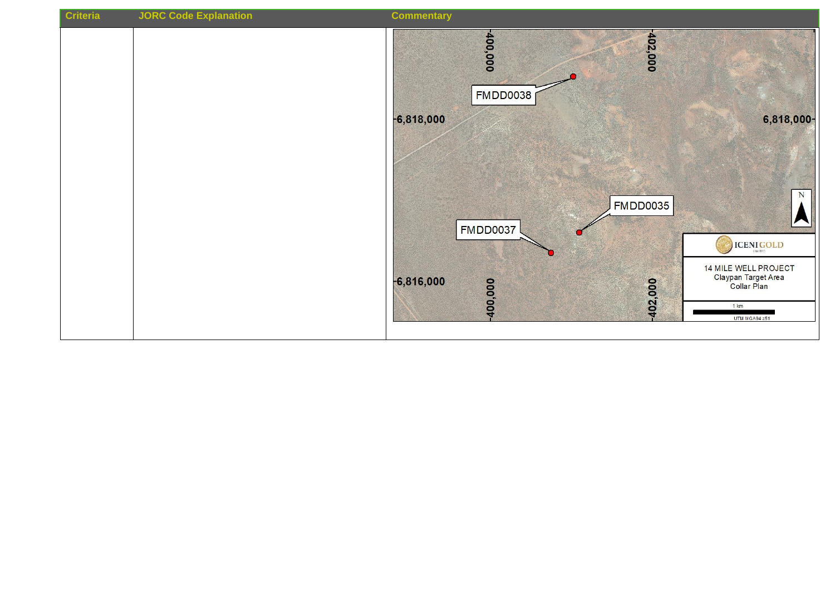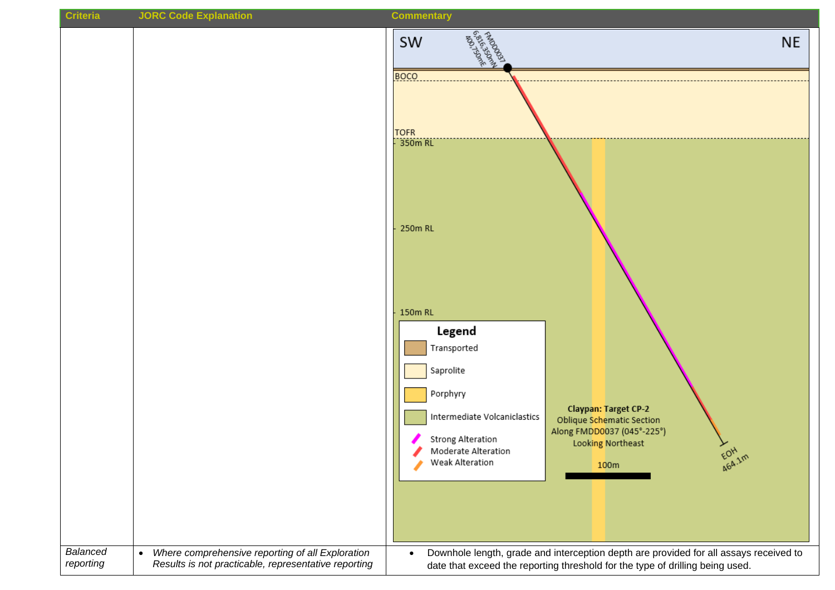